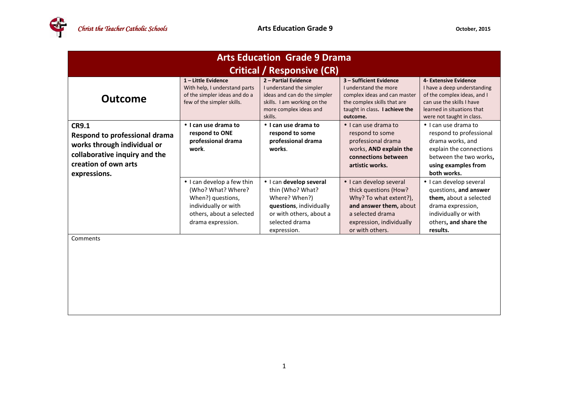| <b>Arts Education Grade 9 Drama</b>                                                                                                                   |                                                                                                                                                |                                                                                                                                                      |                                                                                                                                                                         |                                                                                                                                                                             |  |  |  |
|-------------------------------------------------------------------------------------------------------------------------------------------------------|------------------------------------------------------------------------------------------------------------------------------------------------|------------------------------------------------------------------------------------------------------------------------------------------------------|-------------------------------------------------------------------------------------------------------------------------------------------------------------------------|-----------------------------------------------------------------------------------------------------------------------------------------------------------------------------|--|--|--|
| <b>Critical / Responsive (CR)</b>                                                                                                                     |                                                                                                                                                |                                                                                                                                                      |                                                                                                                                                                         |                                                                                                                                                                             |  |  |  |
| <b>Outcome</b>                                                                                                                                        | 1-Little Evidence<br>With help, I understand parts<br>of the simpler ideas and do a<br>few of the simpler skills.                              | 2 - Partial Evidence<br>I understand the simpler<br>ideas and can do the simpler<br>skills. I am working on the<br>more complex ideas and<br>skills. | 3 - Sufficient Evidence<br>I understand the more<br>complex ideas and can master<br>the complex skills that are<br>taught in class. I achieve the<br>outcome.           | 4- Extensive Evidence<br>I have a deep understanding<br>of the complex ideas, and I<br>can use the skills I have<br>learned in situations that<br>were not taught in class. |  |  |  |
| <b>CR9.1</b><br>Respond to professional drama<br>works through individual or<br>collaborative inquiry and the<br>creation of own arts<br>expressions. | • I can use drama to<br>respond to ONE<br>professional drama<br>work.                                                                          | • I can use drama to<br>respond to some<br>professional drama<br>works.                                                                              | $\bullet$ I can use drama to<br>respond to some<br>professional drama<br>works, AND explain the<br>connections between<br>artistic works.                               | • I can use drama to<br>respond to professional<br>drama works, and<br>explain the connections<br>between the two works,<br>using examples from<br>both works.              |  |  |  |
|                                                                                                                                                       | • I can develop a few thin<br>(Who? What? Where?<br>When?) questions,<br>individually or with<br>others, about a selected<br>drama expression. | · I can develop several<br>thin (Who? What?<br>Where? When?)<br>questions, individually<br>or with others, about a<br>selected drama<br>expression.  | • I can develop several<br>thick questions (How?<br>Why? To what extent?),<br>and answer them, about<br>a selected drama<br>expression, individually<br>or with others. | · I can develop several<br>questions, and answer<br>them, about a selected<br>drama expression,<br>individually or with<br>others, and share the<br>results.                |  |  |  |
| Comments                                                                                                                                              |                                                                                                                                                |                                                                                                                                                      |                                                                                                                                                                         |                                                                                                                                                                             |  |  |  |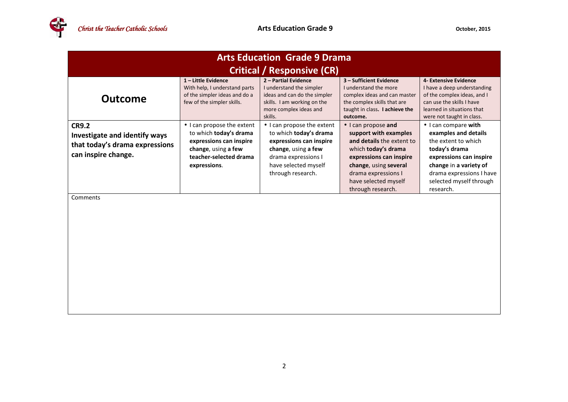| <b>Arts Education Grade 9 Drama</b>                                                                    |                                                                                                                                                  |                                                                                                                                                                            |                                                                                                                                                                                                                          |                                                                                                                                                                                                               |  |  |  |
|--------------------------------------------------------------------------------------------------------|--------------------------------------------------------------------------------------------------------------------------------------------------|----------------------------------------------------------------------------------------------------------------------------------------------------------------------------|--------------------------------------------------------------------------------------------------------------------------------------------------------------------------------------------------------------------------|---------------------------------------------------------------------------------------------------------------------------------------------------------------------------------------------------------------|--|--|--|
| <b>Critical / Responsive (CR)</b>                                                                      |                                                                                                                                                  |                                                                                                                                                                            |                                                                                                                                                                                                                          |                                                                                                                                                                                                               |  |  |  |
| <b>Outcome</b>                                                                                         | 1-Little Evidence<br>With help, I understand parts<br>of the simpler ideas and do a<br>few of the simpler skills.                                | 2 - Partial Evidence<br>I understand the simpler<br>ideas and can do the simpler<br>skills. I am working on the<br>more complex ideas and<br>skills.                       | 3 - Sufficient Evidence<br>I understand the more<br>complex ideas and can master<br>the complex skills that are<br>taught in class. I achieve the<br>outcome.                                                            | 4- Extensive Evidence<br>I have a deep understanding<br>of the complex ideas, and I<br>can use the skills I have<br>learned in situations that<br>were not taught in class.                                   |  |  |  |
| <b>CR9.2</b><br>Investigate and identify ways<br>that today's drama expressions<br>can inspire change. | • I can propose the extent<br>to which today's drama<br>expressions can inspire<br>change, using a few<br>teacher-selected drama<br>expressions. | • I can propose the extent<br>to which today's drama<br>expressions can inspire<br>change, using a few<br>drama expressions I<br>have selected myself<br>through research. | • I can propose and<br>support with examples<br>and details the extent to<br>which today's drama<br>expressions can inspire<br>change, using several<br>drama expressions I<br>have selected myself<br>through research. | • I can compare with<br>examples and details<br>the extent to which<br>today's drama<br>expressions can inspire<br>change in a variety of<br>drama expressions I have<br>selected myself through<br>research. |  |  |  |
| Comments                                                                                               |                                                                                                                                                  |                                                                                                                                                                            |                                                                                                                                                                                                                          |                                                                                                                                                                                                               |  |  |  |